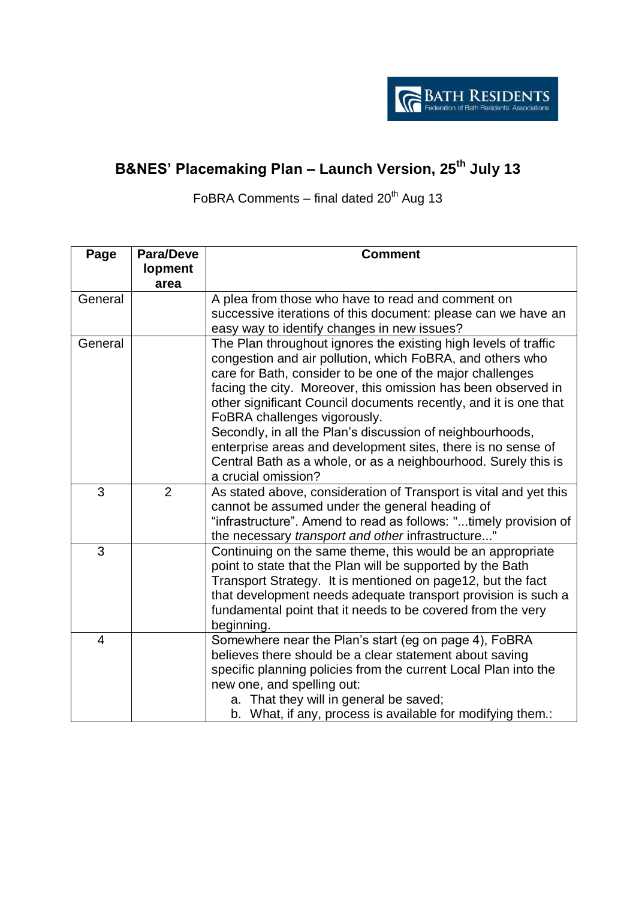

## **B&NES' Placemaking Plan – Launch Version, 25th July 13**

FoBRA Comments – final dated  $20<sup>th</sup>$  Aug 13

| Page           | <b>Para/Deve</b> | <b>Comment</b>                                                    |
|----------------|------------------|-------------------------------------------------------------------|
|                | lopment          |                                                                   |
|                | area             |                                                                   |
| General        |                  | A plea from those who have to read and comment on                 |
|                |                  | successive iterations of this document: please can we have an     |
|                |                  | easy way to identify changes in new issues?                       |
| General        |                  | The Plan throughout ignores the existing high levels of traffic   |
|                |                  | congestion and air pollution, which FoBRA, and others who         |
|                |                  | care for Bath, consider to be one of the major challenges         |
|                |                  | facing the city. Moreover, this omission has been observed in     |
|                |                  | other significant Council documents recently, and it is one that  |
|                |                  | FoBRA challenges vigorously.                                      |
|                |                  | Secondly, in all the Plan's discussion of neighbourhoods,         |
|                |                  | enterprise areas and development sites, there is no sense of      |
|                |                  | Central Bath as a whole, or as a neighbourhood. Surely this is    |
|                |                  | a crucial omission?                                               |
| 3              | $\overline{2}$   | As stated above, consideration of Transport is vital and yet this |
|                |                  | cannot be assumed under the general heading of                    |
|                |                  | "infrastructure". Amend to read as follows: "timely provision of  |
|                |                  | the necessary transport and other infrastructure"                 |
| 3              |                  | Continuing on the same theme, this would be an appropriate        |
|                |                  | point to state that the Plan will be supported by the Bath        |
|                |                  | Transport Strategy. It is mentioned on page12, but the fact       |
|                |                  | that development needs adequate transport provision is such a     |
|                |                  | fundamental point that it needs to be covered from the very       |
|                |                  | beginning.                                                        |
| $\overline{4}$ |                  | Somewhere near the Plan's start (eg on page 4), FoBRA             |
|                |                  | believes there should be a clear statement about saving           |
|                |                  | specific planning policies from the current Local Plan into the   |
|                |                  | new one, and spelling out:                                        |
|                |                  | a. That they will in general be saved;                            |
|                |                  | b. What, if any, process is available for modifying them.:        |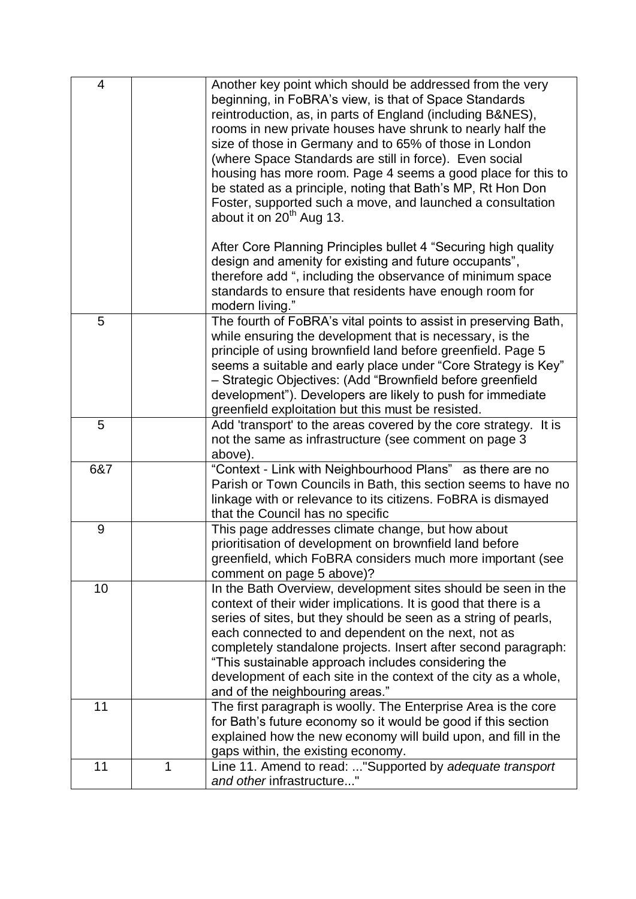| $\overline{4}$ |   | Another key point which should be addressed from the very<br>beginning, in FoBRA's view, is that of Space Standards<br>reintroduction, as, in parts of England (including B&NES),<br>rooms in new private houses have shrunk to nearly half the<br>size of those in Germany and to 65% of those in London<br>(where Space Standards are still in force). Even social<br>housing has more room. Page 4 seems a good place for this to<br>be stated as a principle, noting that Bath's MP, Rt Hon Don<br>Foster, supported such a move, and launched a consultation<br>about it on $20th$ Aug 13. |
|----------------|---|-------------------------------------------------------------------------------------------------------------------------------------------------------------------------------------------------------------------------------------------------------------------------------------------------------------------------------------------------------------------------------------------------------------------------------------------------------------------------------------------------------------------------------------------------------------------------------------------------|
|                |   | After Core Planning Principles bullet 4 "Securing high quality<br>design and amenity for existing and future occupants",<br>therefore add ", including the observance of minimum space<br>standards to ensure that residents have enough room for<br>modern living."                                                                                                                                                                                                                                                                                                                            |
| 5              |   | The fourth of FoBRA's vital points to assist in preserving Bath,<br>while ensuring the development that is necessary, is the<br>principle of using brownfield land before greenfield. Page 5<br>seems a suitable and early place under "Core Strategy is Key"<br>- Strategic Objectives: (Add "Brownfield before greenfield<br>development"). Developers are likely to push for immediate<br>greenfield exploitation but this must be resisted.                                                                                                                                                 |
| 5              |   | Add 'transport' to the areas covered by the core strategy. It is<br>not the same as infrastructure (see comment on page 3<br>above).                                                                                                                                                                                                                                                                                                                                                                                                                                                            |
| 6&7            |   | "Context - Link with Neighbourhood Plans" as there are no<br>Parish or Town Councils in Bath, this section seems to have no<br>linkage with or relevance to its citizens. FoBRA is dismayed<br>that the Council has no specific                                                                                                                                                                                                                                                                                                                                                                 |
| 9              |   | This page addresses climate change, but how about<br>prioritisation of development on brownfield land before<br>greenfield, which FoBRA considers much more important (see<br>comment on page 5 above)?                                                                                                                                                                                                                                                                                                                                                                                         |
| 10             |   | In the Bath Overview, development sites should be seen in the<br>context of their wider implications. It is good that there is a<br>series of sites, but they should be seen as a string of pearls,<br>each connected to and dependent on the next, not as<br>completely standalone projects. Insert after second paragraph:<br>"This sustainable approach includes considering the<br>development of each site in the context of the city as a whole,<br>and of the neighbouring areas."                                                                                                       |
| 11             |   | The first paragraph is woolly. The Enterprise Area is the core<br>for Bath's future economy so it would be good if this section<br>explained how the new economy will build upon, and fill in the<br>gaps within, the existing economy.                                                                                                                                                                                                                                                                                                                                                         |
| 11             | 1 | Line 11. Amend to read: "Supported by adequate transport<br>and other infrastructure"                                                                                                                                                                                                                                                                                                                                                                                                                                                                                                           |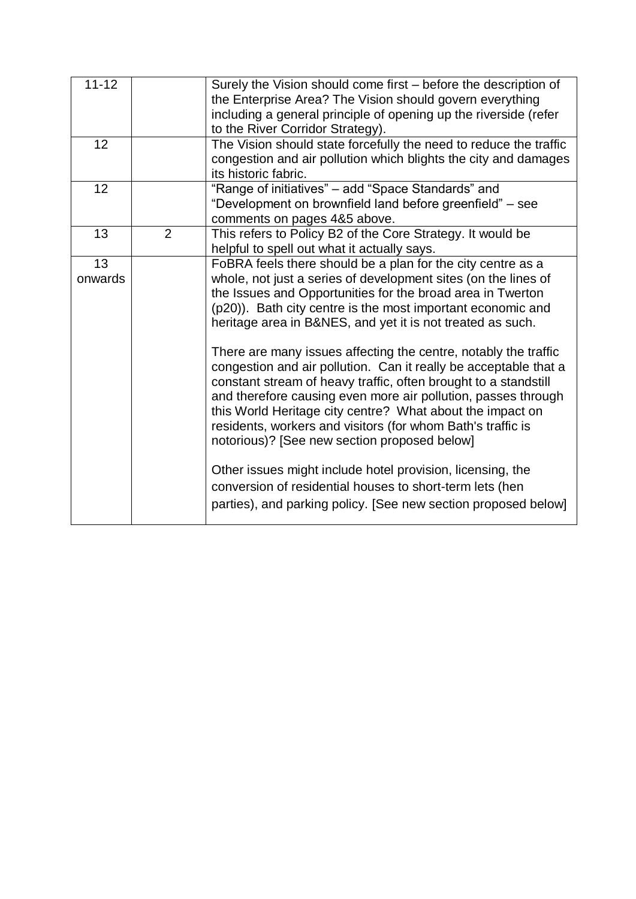| $11 - 12$     |                | Surely the Vision should come first – before the description of<br>the Enterprise Area? The Vision should govern everything<br>including a general principle of opening up the riverside (refer<br>to the River Corridor Strategy).                                                                                                                                                                                                                                                                                                                                                                                                                                                                                                                                                                                                                                                                                                                                         |
|---------------|----------------|-----------------------------------------------------------------------------------------------------------------------------------------------------------------------------------------------------------------------------------------------------------------------------------------------------------------------------------------------------------------------------------------------------------------------------------------------------------------------------------------------------------------------------------------------------------------------------------------------------------------------------------------------------------------------------------------------------------------------------------------------------------------------------------------------------------------------------------------------------------------------------------------------------------------------------------------------------------------------------|
| 12            |                | The Vision should state forcefully the need to reduce the traffic<br>congestion and air pollution which blights the city and damages<br>its historic fabric.                                                                                                                                                                                                                                                                                                                                                                                                                                                                                                                                                                                                                                                                                                                                                                                                                |
| 12            |                | "Range of initiatives" - add "Space Standards" and<br>"Development on brownfield land before greenfield" - see<br>comments on pages 4&5 above.                                                                                                                                                                                                                                                                                                                                                                                                                                                                                                                                                                                                                                                                                                                                                                                                                              |
| 13            | $\overline{2}$ | This refers to Policy B2 of the Core Strategy. It would be<br>helpful to spell out what it actually says.                                                                                                                                                                                                                                                                                                                                                                                                                                                                                                                                                                                                                                                                                                                                                                                                                                                                   |
| 13<br>onwards |                | FoBRA feels there should be a plan for the city centre as a<br>whole, not just a series of development sites (on the lines of<br>the Issues and Opportunities for the broad area in Twerton<br>(p20)). Bath city centre is the most important economic and<br>heritage area in B&NES, and yet it is not treated as such.<br>There are many issues affecting the centre, notably the traffic<br>congestion and air pollution. Can it really be acceptable that a<br>constant stream of heavy traffic, often brought to a standstill<br>and therefore causing even more air pollution, passes through<br>this World Heritage city centre? What about the impact on<br>residents, workers and visitors (for whom Bath's traffic is<br>notorious)? [See new section proposed below]<br>Other issues might include hotel provision, licensing, the<br>conversion of residential houses to short-term lets (hen<br>parties), and parking policy. [See new section proposed below] |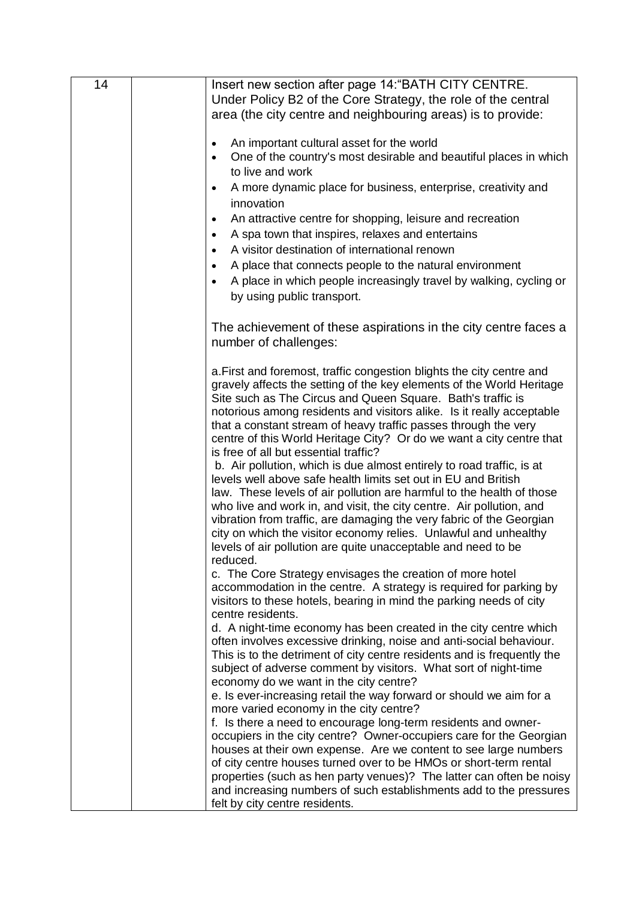| 14 | Insert new section after page 14: "BATH CITY CENTRE.                                                                                       |
|----|--------------------------------------------------------------------------------------------------------------------------------------------|
|    | Under Policy B2 of the Core Strategy, the role of the central                                                                              |
|    | area (the city centre and neighbouring areas) is to provide:                                                                               |
|    |                                                                                                                                            |
|    | An important cultural asset for the world                                                                                                  |
|    | One of the country's most desirable and beautiful places in which<br>$\bullet$                                                             |
|    | to live and work                                                                                                                           |
|    | A more dynamic place for business, enterprise, creativity and                                                                              |
|    | innovation                                                                                                                                 |
|    | An attractive centre for shopping, leisure and recreation<br>$\bullet$                                                                     |
|    | A spa town that inspires, relaxes and entertains<br>٠                                                                                      |
|    | A visitor destination of international renown<br>$\bullet$                                                                                 |
|    | A place that connects people to the natural environment<br>٠                                                                               |
|    | A place in which people increasingly travel by walking, cycling or                                                                         |
|    | by using public transport.                                                                                                                 |
|    |                                                                                                                                            |
|    |                                                                                                                                            |
|    | The achievement of these aspirations in the city centre faces a<br>number of challenges:                                                   |
|    |                                                                                                                                            |
|    | a. First and foremost, traffic congestion blights the city centre and                                                                      |
|    | gravely affects the setting of the key elements of the World Heritage                                                                      |
|    | Site such as The Circus and Queen Square. Bath's traffic is                                                                                |
|    | notorious among residents and visitors alike. Is it really acceptable                                                                      |
|    | that a constant stream of heavy traffic passes through the very                                                                            |
|    | centre of this World Heritage City? Or do we want a city centre that                                                                       |
|    | is free of all but essential traffic?                                                                                                      |
|    | b. Air pollution, which is due almost entirely to road traffic, is at                                                                      |
|    | levels well above safe health limits set out in EU and British<br>law. These levels of air pollution are harmful to the health of those    |
|    | who live and work in, and visit, the city centre. Air pollution, and                                                                       |
|    | vibration from traffic, are damaging the very fabric of the Georgian                                                                       |
|    | city on which the visitor economy relies. Unlawful and unhealthy                                                                           |
|    | levels of air pollution are quite unacceptable and need to be                                                                              |
|    | reduced.                                                                                                                                   |
|    | c. The Core Strategy envisages the creation of more hotel                                                                                  |
|    | accommodation in the centre. A strategy is required for parking by                                                                         |
|    | visitors to these hotels, bearing in mind the parking needs of city                                                                        |
|    | centre residents.                                                                                                                          |
|    | d. A night-time economy has been created in the city centre which<br>often involves excessive drinking, noise and anti-social behaviour.   |
|    | This is to the detriment of city centre residents and is frequently the                                                                    |
|    | subject of adverse comment by visitors. What sort of night-time                                                                            |
|    | economy do we want in the city centre?                                                                                                     |
|    | e. Is ever-increasing retail the way forward or should we aim for a                                                                        |
|    | more varied economy in the city centre?                                                                                                    |
|    | f. Is there a need to encourage long-term residents and owner-                                                                             |
|    | occupiers in the city centre? Owner-occupiers care for the Georgian                                                                        |
|    | houses at their own expense. Are we content to see large numbers                                                                           |
|    | of city centre houses turned over to be HMOs or short-term rental                                                                          |
|    | properties (such as hen party venues)? The latter can often be noisy<br>and increasing numbers of such establishments add to the pressures |
|    | felt by city centre residents.                                                                                                             |
|    |                                                                                                                                            |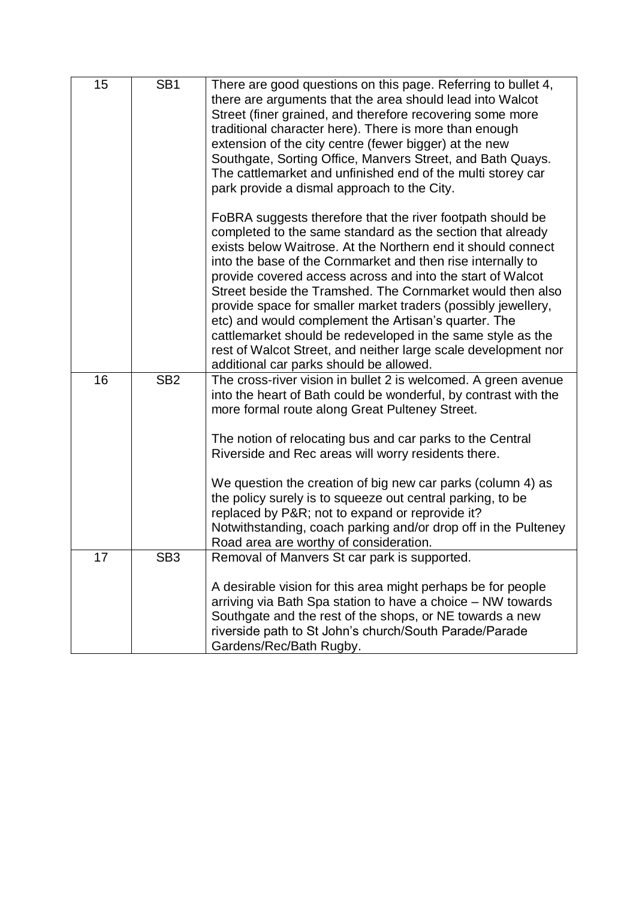| 15 | SB <sub>1</sub> | There are good questions on this page. Referring to bullet 4,<br>there are arguments that the area should lead into Walcot<br>Street (finer grained, and therefore recovering some more<br>traditional character here). There is more than enough<br>extension of the city centre (fewer bigger) at the new<br>Southgate, Sorting Office, Manvers Street, and Bath Quays.<br>The cattlemarket and unfinished end of the multi storey car<br>park provide a dismal approach to the City.                                                                                                                                                                                                  |
|----|-----------------|------------------------------------------------------------------------------------------------------------------------------------------------------------------------------------------------------------------------------------------------------------------------------------------------------------------------------------------------------------------------------------------------------------------------------------------------------------------------------------------------------------------------------------------------------------------------------------------------------------------------------------------------------------------------------------------|
|    |                 | FoBRA suggests therefore that the river footpath should be<br>completed to the same standard as the section that already<br>exists below Waitrose. At the Northern end it should connect<br>into the base of the Cornmarket and then rise internally to<br>provide covered access across and into the start of Walcot<br>Street beside the Tramshed. The Cornmarket would then also<br>provide space for smaller market traders (possibly jewellery,<br>etc) and would complement the Artisan's quarter. The<br>cattlemarket should be redeveloped in the same style as the<br>rest of Walcot Street, and neither large scale development nor<br>additional car parks should be allowed. |
| 16 | SB <sub>2</sub> | The cross-river vision in bullet 2 is welcomed. A green avenue<br>into the heart of Bath could be wonderful, by contrast with the<br>more formal route along Great Pulteney Street.<br>The notion of relocating bus and car parks to the Central<br>Riverside and Rec areas will worry residents there.<br>We question the creation of big new car parks (column 4) as<br>the policy surely is to squeeze out central parking, to be<br>replaced by P&R not to expand or reprovide it?<br>Notwithstanding, coach parking and/or drop off in the Pulteney<br>Road area are worthy of consideration.                                                                                       |
| 17 | SB3             | Removal of Manvers St car park is supported.<br>A desirable vision for this area might perhaps be for people<br>arriving via Bath Spa station to have a choice - NW towards<br>Southgate and the rest of the shops, or NE towards a new<br>riverside path to St John's church/South Parade/Parade<br>Gardens/Rec/Bath Rugby.                                                                                                                                                                                                                                                                                                                                                             |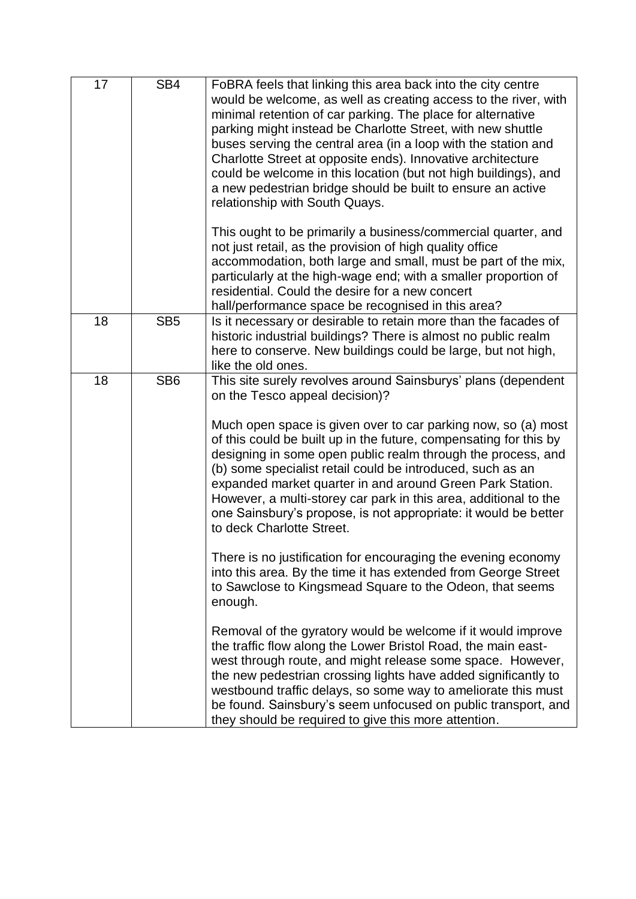| 17 | SB4             | FoBRA feels that linking this area back into the city centre<br>would be welcome, as well as creating access to the river, with<br>minimal retention of car parking. The place for alternative<br>parking might instead be Charlotte Street, with new shuttle<br>buses serving the central area (in a loop with the station and<br>Charlotte Street at opposite ends). Innovative architecture<br>could be welcome in this location (but not high buildings), and<br>a new pedestrian bridge should be built to ensure an active<br>relationship with South Quays.                                                                                                                                                                                                                                                                                                                                                                                                                                                                                                                                                                                                                                                                                                        |
|----|-----------------|---------------------------------------------------------------------------------------------------------------------------------------------------------------------------------------------------------------------------------------------------------------------------------------------------------------------------------------------------------------------------------------------------------------------------------------------------------------------------------------------------------------------------------------------------------------------------------------------------------------------------------------------------------------------------------------------------------------------------------------------------------------------------------------------------------------------------------------------------------------------------------------------------------------------------------------------------------------------------------------------------------------------------------------------------------------------------------------------------------------------------------------------------------------------------------------------------------------------------------------------------------------------------|
|    |                 | This ought to be primarily a business/commercial quarter, and<br>not just retail, as the provision of high quality office<br>accommodation, both large and small, must be part of the mix,<br>particularly at the high-wage end; with a smaller proportion of<br>residential. Could the desire for a new concert<br>hall/performance space be recognised in this area?                                                                                                                                                                                                                                                                                                                                                                                                                                                                                                                                                                                                                                                                                                                                                                                                                                                                                                    |
| 18 | SB <sub>5</sub> | Is it necessary or desirable to retain more than the facades of<br>historic industrial buildings? There is almost no public realm<br>here to conserve. New buildings could be large, but not high,<br>like the old ones.                                                                                                                                                                                                                                                                                                                                                                                                                                                                                                                                                                                                                                                                                                                                                                                                                                                                                                                                                                                                                                                  |
| 18 | SB <sub>6</sub> | This site surely revolves around Sainsburys' plans (dependent<br>on the Tesco appeal decision)?<br>Much open space is given over to car parking now, so (a) most<br>of this could be built up in the future, compensating for this by<br>designing in some open public realm through the process, and<br>(b) some specialist retail could be introduced, such as an<br>expanded market quarter in and around Green Park Station.<br>However, a multi-storey car park in this area, additional to the<br>one Sainsbury's propose, is not appropriate: it would be better<br>to deck Charlotte Street.<br>There is no justification for encouraging the evening economy<br>into this area. By the time it has extended from George Street<br>to Sawclose to Kingsmead Square to the Odeon, that seems<br>enough.<br>Removal of the gyratory would be welcome if it would improve<br>the traffic flow along the Lower Bristol Road, the main east-<br>west through route, and might release some space. However,<br>the new pedestrian crossing lights have added significantly to<br>westbound traffic delays, so some way to ameliorate this must<br>be found. Sainsbury's seem unfocused on public transport, and<br>they should be required to give this more attention. |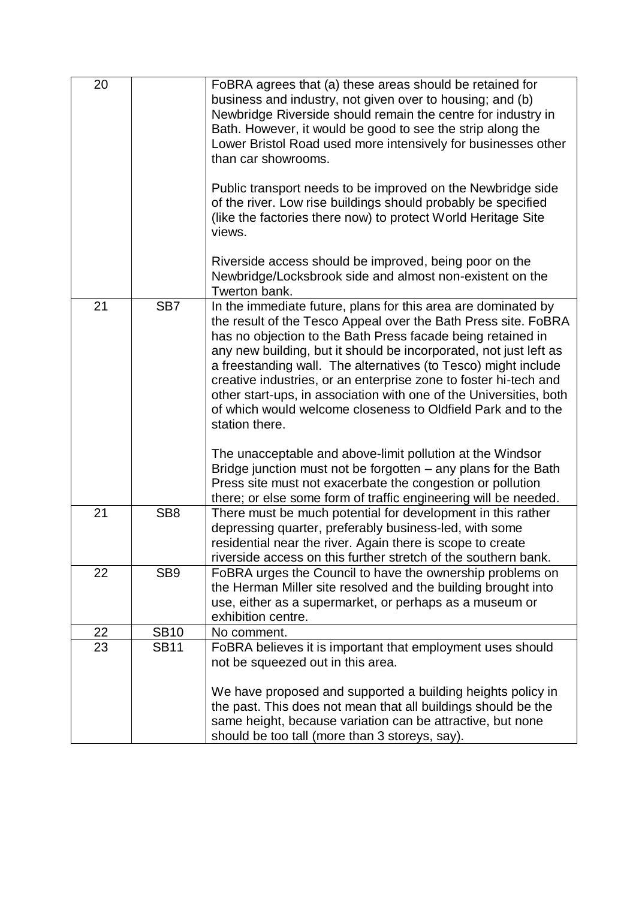| 20 |                 | FoBRA agrees that (a) these areas should be retained for<br>business and industry, not given over to housing; and (b)<br>Newbridge Riverside should remain the centre for industry in<br>Bath. However, it would be good to see the strip along the<br>Lower Bristol Road used more intensively for businesses other<br>than car showrooms.<br>Public transport needs to be improved on the Newbridge side<br>of the river. Low rise buildings should probably be specified<br>(like the factories there now) to protect World Heritage Site<br>views.<br>Riverside access should be improved, being poor on the<br>Newbridge/Locksbrook side and almost non-existent on the                                                                                                                                                                       |
|----|-----------------|----------------------------------------------------------------------------------------------------------------------------------------------------------------------------------------------------------------------------------------------------------------------------------------------------------------------------------------------------------------------------------------------------------------------------------------------------------------------------------------------------------------------------------------------------------------------------------------------------------------------------------------------------------------------------------------------------------------------------------------------------------------------------------------------------------------------------------------------------|
| 21 | SB <sub>7</sub> | Twerton bank.<br>In the immediate future, plans for this area are dominated by<br>the result of the Tesco Appeal over the Bath Press site. FoBRA<br>has no objection to the Bath Press facade being retained in<br>any new building, but it should be incorporated, not just left as<br>a freestanding wall. The alternatives (to Tesco) might include<br>creative industries, or an enterprise zone to foster hi-tech and<br>other start-ups, in association with one of the Universities, both<br>of which would welcome closeness to Oldfield Park and to the<br>station there.<br>The unacceptable and above-limit pollution at the Windsor<br>Bridge junction must not be forgotten – any plans for the Bath<br>Press site must not exacerbate the congestion or pollution<br>there; or else some form of traffic engineering will be needed. |
| 21 | SB <sub>8</sub> | There must be much potential for development in this rather<br>depressing quarter, preferably business-led, with some<br>residential near the river. Again there is scope to create<br>riverside access on this further stretch of the southern bank.                                                                                                                                                                                                                                                                                                                                                                                                                                                                                                                                                                                              |
| 22 | SB <sub>9</sub> | FoBRA urges the Council to have the ownership problems on<br>the Herman Miller site resolved and the building brought into<br>use, either as a supermarket, or perhaps as a museum or<br>exhibition centre.                                                                                                                                                                                                                                                                                                                                                                                                                                                                                                                                                                                                                                        |
| 22 | <b>SB10</b>     | No comment.                                                                                                                                                                                                                                                                                                                                                                                                                                                                                                                                                                                                                                                                                                                                                                                                                                        |
| 23 | <b>SB11</b>     | FoBRA believes it is important that employment uses should<br>not be squeezed out in this area.<br>We have proposed and supported a building heights policy in<br>the past. This does not mean that all buildings should be the<br>same height, because variation can be attractive, but none<br>should be too tall (more than 3 storeys, say).                                                                                                                                                                                                                                                                                                                                                                                                                                                                                                    |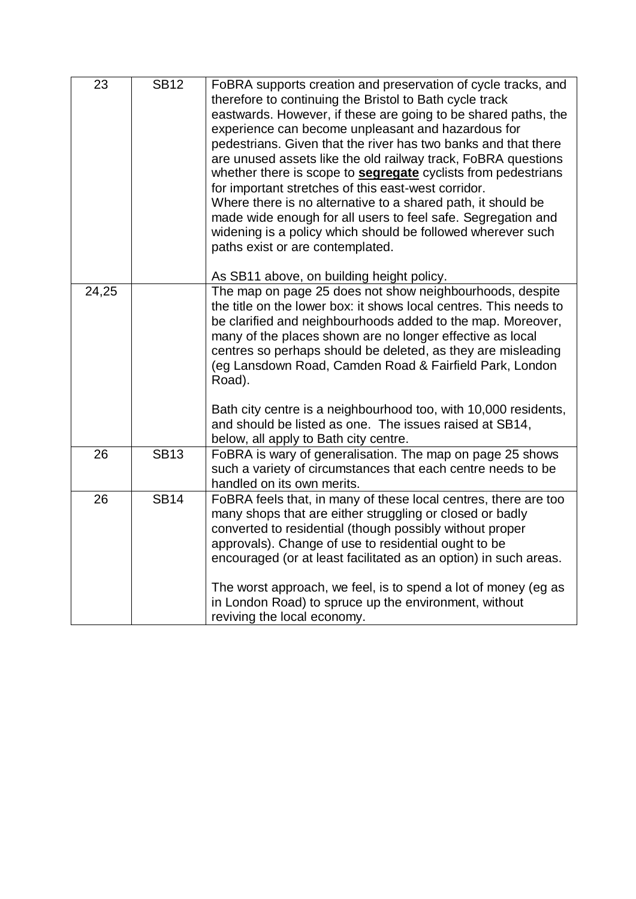| 23    | <b>SB12</b> | FoBRA supports creation and preservation of cycle tracks, and<br>therefore to continuing the Bristol to Bath cycle track<br>eastwards. However, if these are going to be shared paths, the<br>experience can become unpleasant and hazardous for<br>pedestrians. Given that the river has two banks and that there<br>are unused assets like the old railway track, FoBRA questions<br>whether there is scope to <b>segregate</b> cyclists from pedestrians<br>for important stretches of this east-west corridor.<br>Where there is no alternative to a shared path, it should be<br>made wide enough for all users to feel safe. Segregation and<br>widening is a policy which should be followed wherever such<br>paths exist or are contemplated.<br>As SB11 above, on building height policy. |
|-------|-------------|----------------------------------------------------------------------------------------------------------------------------------------------------------------------------------------------------------------------------------------------------------------------------------------------------------------------------------------------------------------------------------------------------------------------------------------------------------------------------------------------------------------------------------------------------------------------------------------------------------------------------------------------------------------------------------------------------------------------------------------------------------------------------------------------------|
| 24,25 |             | The map on page 25 does not show neighbourhoods, despite<br>the title on the lower box: it shows local centres. This needs to<br>be clarified and neighbourhoods added to the map. Moreover,<br>many of the places shown are no longer effective as local<br>centres so perhaps should be deleted, as they are misleading<br>(eg Lansdown Road, Camden Road & Fairfield Park, London<br>Road).<br>Bath city centre is a neighbourhood too, with 10,000 residents,<br>and should be listed as one. The issues raised at SB14,                                                                                                                                                                                                                                                                       |
| 26    | <b>SB13</b> | below, all apply to Bath city centre.<br>FoBRA is wary of generalisation. The map on page 25 shows<br>such a variety of circumstances that each centre needs to be<br>handled on its own merits.                                                                                                                                                                                                                                                                                                                                                                                                                                                                                                                                                                                                   |
| 26    | <b>SB14</b> | FoBRA feels that, in many of these local centres, there are too<br>many shops that are either struggling or closed or badly<br>converted to residential (though possibly without proper<br>approvals). Change of use to residential ought to be<br>encouraged (or at least facilitated as an option) in such areas.<br>The worst approach, we feel, is to spend a lot of money (eg as<br>in London Road) to spruce up the environment, without<br>reviving the local economy.                                                                                                                                                                                                                                                                                                                      |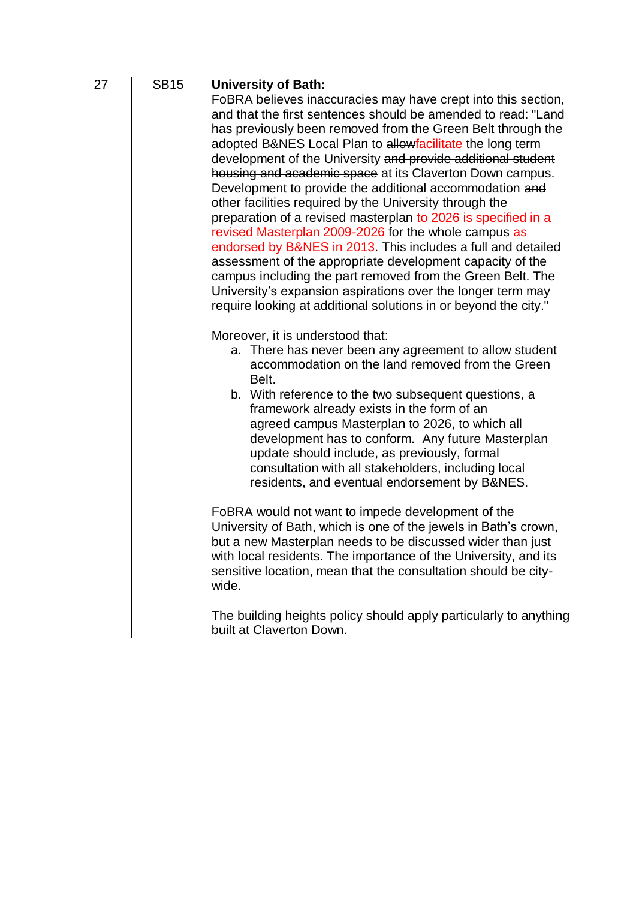| 27 | <b>SB15</b> | <b>University of Bath:</b>                                        |
|----|-------------|-------------------------------------------------------------------|
|    |             | FoBRA believes inaccuracies may have crept into this section,     |
|    |             | and that the first sentences should be amended to read: "Land     |
|    |             | has previously been removed from the Green Belt through the       |
|    |             | adopted B&NES Local Plan to allowfacilitate the long term         |
|    |             | development of the University and provide additional student      |
|    |             | housing and academic space at its Claverton Down campus.          |
|    |             | Development to provide the additional accommodation and           |
|    |             | other facilities required by the University through the           |
|    |             | preparation of a revised masterplan to 2026 is specified in a     |
|    |             | revised Masterplan 2009-2026 for the whole campus as              |
|    |             | endorsed by B&NES in 2013. This includes a full and detailed      |
|    |             | assessment of the appropriate development capacity of the         |
|    |             | campus including the part removed from the Green Belt. The        |
|    |             | University's expansion aspirations over the longer term may       |
|    |             | require looking at additional solutions in or beyond the city."   |
|    |             | Moreover, it is understood that:                                  |
|    |             | a. There has never been any agreement to allow student            |
|    |             | accommodation on the land removed from the Green                  |
|    |             | Belt.                                                             |
|    |             | b. With reference to the two subsequent questions, a              |
|    |             | framework already exists in the form of an                        |
|    |             | agreed campus Masterplan to 2026, to which all                    |
|    |             | development has to conform. Any future Masterplan                 |
|    |             | update should include, as previously, formal                      |
|    |             | consultation with all stakeholders, including local               |
|    |             | residents, and eventual endorsement by B&NES.                     |
|    |             | FoBRA would not want to impede development of the                 |
|    |             | University of Bath, which is one of the jewels in Bath's crown,   |
|    |             | but a new Masterplan needs to be discussed wider than just        |
|    |             | with local residents. The importance of the University, and its   |
|    |             | sensitive location, mean that the consultation should be city-    |
|    |             | wide.                                                             |
|    |             | The building heights policy should apply particularly to anything |
|    |             | built at Claverton Down.                                          |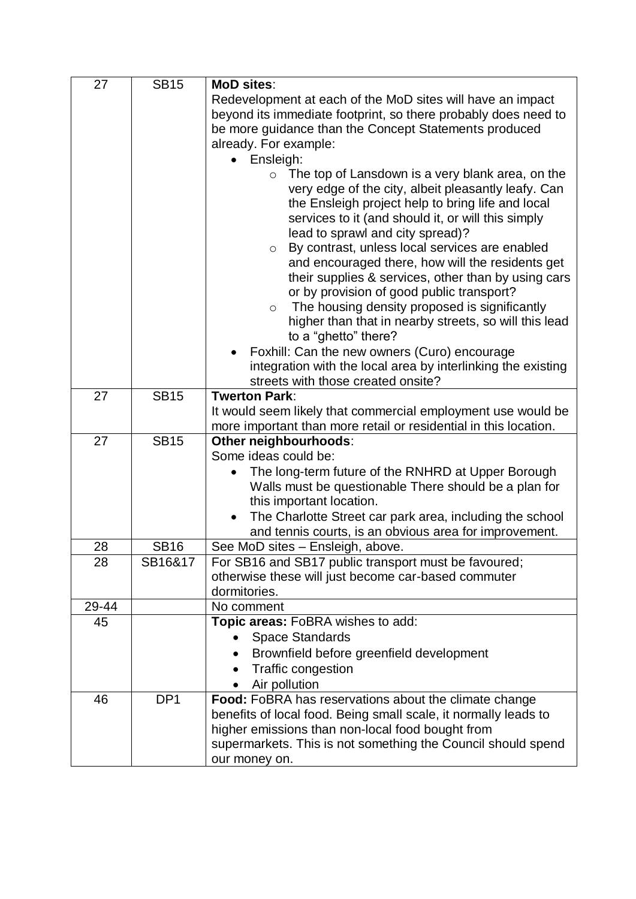| 27    | <b>SB15</b>     | MoD sites:                                                                             |
|-------|-----------------|----------------------------------------------------------------------------------------|
|       |                 | Redevelopment at each of the MoD sites will have an impact                             |
|       |                 | beyond its immediate footprint, so there probably does need to                         |
|       |                 | be more guidance than the Concept Statements produced                                  |
|       |                 | already. For example:                                                                  |
|       |                 | Ensleigh:                                                                              |
|       |                 | $\circ$ The top of Lansdown is a very blank area, on the                               |
|       |                 | very edge of the city, albeit pleasantly leafy. Can                                    |
|       |                 | the Ensleigh project help to bring life and local                                      |
|       |                 | services to it (and should it, or will this simply<br>lead to sprawl and city spread)? |
|       |                 | By contrast, unless local services are enabled<br>$\circ$                              |
|       |                 | and encouraged there, how will the residents get                                       |
|       |                 | their supplies & services, other than by using cars                                    |
|       |                 | or by provision of good public transport?                                              |
|       |                 | The housing density proposed is significantly<br>$\circ$                               |
|       |                 | higher than that in nearby streets, so will this lead                                  |
|       |                 | to a "ghetto" there?                                                                   |
|       |                 | Foxhill: Can the new owners (Curo) encourage                                           |
|       |                 | integration with the local area by interlinking the existing                           |
|       |                 | streets with those created onsite?<br><b>Twerton Park:</b>                             |
| 27    | <b>SB15</b>     | It would seem likely that commercial employment use would be                           |
|       |                 | more important than more retail or residential in this location.                       |
| 27    | <b>SB15</b>     | Other neighbourhoods:                                                                  |
|       |                 | Some ideas could be:                                                                   |
|       |                 | The long-term future of the RNHRD at Upper Borough                                     |
|       |                 | Walls must be questionable There should be a plan for                                  |
|       |                 | this important location.                                                               |
|       |                 | The Charlotte Street car park area, including the school                               |
|       |                 | and tennis courts, is an obvious area for improvement.                                 |
| 28    | <b>SB16</b>     | See MoD sites - Ensleigh, above.                                                       |
| 28    | SB16&17         | For SB16 and SB17 public transport must be favoured;                                   |
|       |                 | otherwise these will just become car-based commuter<br>dormitories.                    |
| 29-44 |                 | No comment                                                                             |
| 45    |                 | Topic areas: FoBRA wishes to add:                                                      |
|       |                 | <b>Space Standards</b>                                                                 |
|       |                 | Brownfield before greenfield development                                               |
|       |                 | Traffic congestion                                                                     |
|       |                 | Air pollution                                                                          |
| 46    | DP <sub>1</sub> | Food: FoBRA has reservations about the climate change                                  |
|       |                 | benefits of local food. Being small scale, it normally leads to                        |
|       |                 | higher emissions than non-local food bought from                                       |
|       |                 | supermarkets. This is not something the Council should spend                           |
|       |                 | our money on.                                                                          |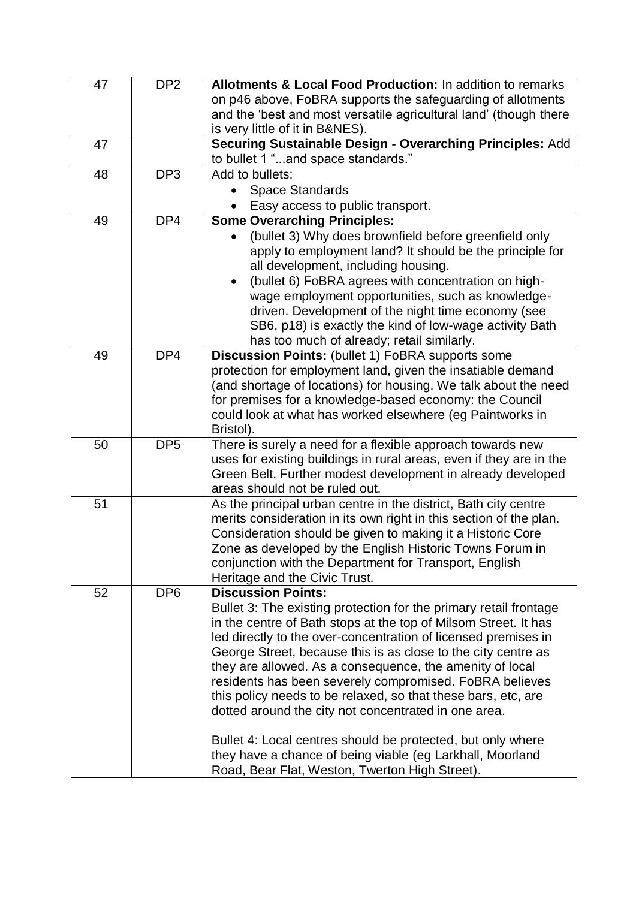| 47 | DP <sub>2</sub> | Allotments & Local Food Production: In addition to remarks                                                                        |
|----|-----------------|-----------------------------------------------------------------------------------------------------------------------------------|
|    |                 | on p46 above, FoBRA supports the safeguarding of allotments                                                                       |
|    |                 | and the 'best and most versatile agricultural land' (though there                                                                 |
|    |                 | is very little of it in B&NES).                                                                                                   |
| 47 |                 | Securing Sustainable Design - Overarching Principles: Add                                                                         |
|    |                 | to bullet 1 "and space standards."                                                                                                |
| 48 | DP <sub>3</sub> | Add to bullets:                                                                                                                   |
|    |                 | <b>Space Standards</b>                                                                                                            |
|    |                 | Easy access to public transport.                                                                                                  |
| 49 | DP4             | <b>Some Overarching Principles:</b>                                                                                               |
|    |                 | (bullet 3) Why does brownfield before greenfield only                                                                             |
|    |                 | apply to employment land? It should be the principle for                                                                          |
|    |                 | all development, including housing.                                                                                               |
|    |                 | (bullet 6) FoBRA agrees with concentration on high-                                                                               |
|    |                 | wage employment opportunities, such as knowledge-                                                                                 |
|    |                 | driven. Development of the night time economy (see                                                                                |
|    |                 | SB6, p18) is exactly the kind of low-wage activity Bath                                                                           |
|    |                 | has too much of already; retail similarly.                                                                                        |
| 49 | DP4             | Discussion Points: (bullet 1) FoBRA supports some<br>protection for employment land, given the insatiable demand                  |
|    |                 | (and shortage of locations) for housing. We talk about the need                                                                   |
|    |                 | for premises for a knowledge-based economy: the Council                                                                           |
|    |                 | could look at what has worked elsewhere (eg Paintworks in                                                                         |
|    |                 | Bristol).                                                                                                                         |
| 50 | DP <sub>5</sub> | There is surely a need for a flexible approach towards new                                                                        |
|    |                 | uses for existing buildings in rural areas, even if they are in the                                                               |
|    |                 | Green Belt. Further modest development in already developed                                                                       |
|    |                 | areas should not be ruled out.                                                                                                    |
| 51 |                 | As the principal urban centre in the district, Bath city centre                                                                   |
|    |                 | merits consideration in its own right in this section of the plan.                                                                |
|    |                 | Consideration should be given to making it a Historic Core                                                                        |
|    |                 | Zone as developed by the English Historic Towns Forum in                                                                          |
|    |                 | conjunction with the Department for Transport, English                                                                            |
|    |                 | Heritage and the Civic Trust.                                                                                                     |
| 52 | DP <sub>6</sub> | <b>Discussion Points:</b>                                                                                                         |
|    |                 | Bullet 3: The existing protection for the primary retail frontage                                                                 |
|    |                 | in the centre of Bath stops at the top of Milsom Street. It has<br>led directly to the over-concentration of licensed premises in |
|    |                 | George Street, because this is as close to the city centre as                                                                     |
|    |                 | they are allowed. As a consequence, the amenity of local                                                                          |
|    |                 | residents has been severely compromised. FoBRA believes                                                                           |
|    |                 | this policy needs to be relaxed, so that these bars, etc, are                                                                     |
|    |                 | dotted around the city not concentrated in one area.                                                                              |
|    |                 |                                                                                                                                   |
|    |                 | Bullet 4: Local centres should be protected, but only where                                                                       |
|    |                 | they have a chance of being viable (eg Larkhall, Moorland                                                                         |
|    |                 | Road, Bear Flat, Weston, Twerton High Street).                                                                                    |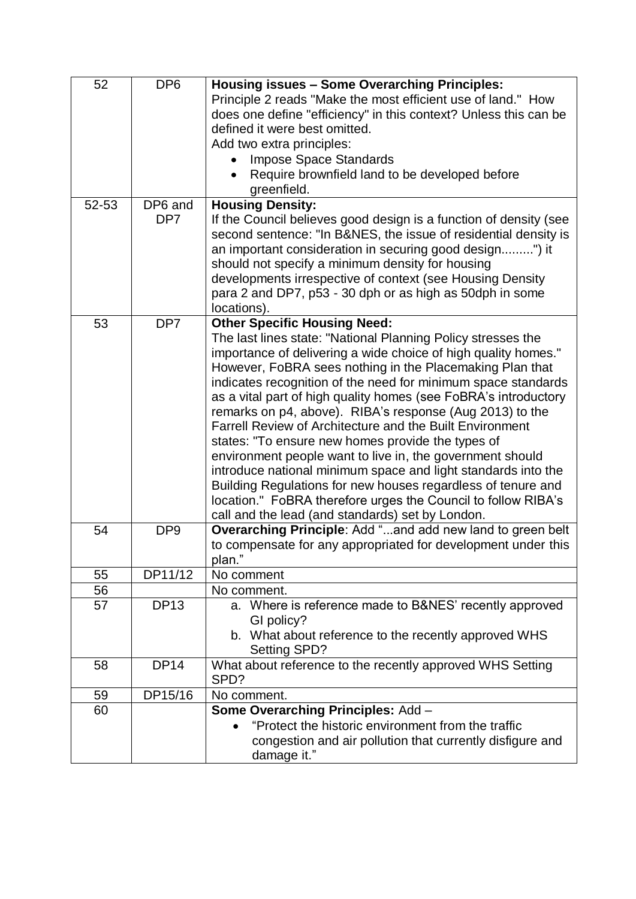| 52    | DP <sub>6</sub> | <b>Housing issues - Some Overarching Principles:</b><br>Principle 2 reads "Make the most efficient use of land." How |
|-------|-----------------|----------------------------------------------------------------------------------------------------------------------|
|       |                 | does one define "efficiency" in this context? Unless this can be                                                     |
|       |                 | defined it were best omitted.                                                                                        |
|       |                 | Add two extra principles:                                                                                            |
|       |                 | <b>Impose Space Standards</b>                                                                                        |
|       |                 | Require brownfield land to be developed before                                                                       |
|       |                 | greenfield.                                                                                                          |
| 52-53 | DP6 and         | <b>Housing Density:</b>                                                                                              |
|       | DP <sub>7</sub> | If the Council believes good design is a function of density (see                                                    |
|       |                 | second sentence: "In B&NES, the issue of residential density is                                                      |
|       |                 | an important consideration in securing good design") it                                                              |
|       |                 | should not specify a minimum density for housing                                                                     |
|       |                 | developments irrespective of context (see Housing Density                                                            |
|       |                 | para 2 and DP7, p53 - 30 dph or as high as 50dph in some                                                             |
| 53    | DP <sub>7</sub> | locations).<br><b>Other Specific Housing Need:</b>                                                                   |
|       |                 | The last lines state: "National Planning Policy stresses the                                                         |
|       |                 | importance of delivering a wide choice of high quality homes."                                                       |
|       |                 | However, FoBRA sees nothing in the Placemaking Plan that                                                             |
|       |                 | indicates recognition of the need for minimum space standards                                                        |
|       |                 | as a vital part of high quality homes (see FoBRA's introductory                                                      |
|       |                 | remarks on p4, above). RIBA's response (Aug 2013) to the                                                             |
|       |                 | <b>Farrell Review of Architecture and the Built Environment</b>                                                      |
|       |                 | states: "To ensure new homes provide the types of                                                                    |
|       |                 | environment people want to live in, the government should                                                            |
|       |                 | introduce national minimum space and light standards into the                                                        |
|       |                 | Building Regulations for new houses regardless of tenure and                                                         |
|       |                 | location." FoBRA therefore urges the Council to follow RIBA's                                                        |
|       |                 | call and the lead (and standards) set by London.<br>Overarching Principle: Add "and add new land to green belt       |
| 54    | DP <sub>9</sub> | to compensate for any appropriated for development under this                                                        |
|       |                 | plan."                                                                                                               |
| 55    | DP11/12         | No comment                                                                                                           |
| 56    |                 | No comment.                                                                                                          |
| 57    | <b>DP13</b>     | a. Where is reference made to B&NES' recently approved                                                               |
|       |                 | GI policy?                                                                                                           |
|       |                 | b. What about reference to the recently approved WHS<br>Setting SPD?                                                 |
| 58    | <b>DP14</b>     | What about reference to the recently approved WHS Setting                                                            |
|       |                 | SPD?                                                                                                                 |
| 59    | DP15/16         | No comment.                                                                                                          |
| 60    |                 | Some Overarching Principles: Add -                                                                                   |
|       |                 | "Protect the historic environment from the traffic                                                                   |
|       |                 | congestion and air pollution that currently disfigure and                                                            |
|       |                 | damage it."                                                                                                          |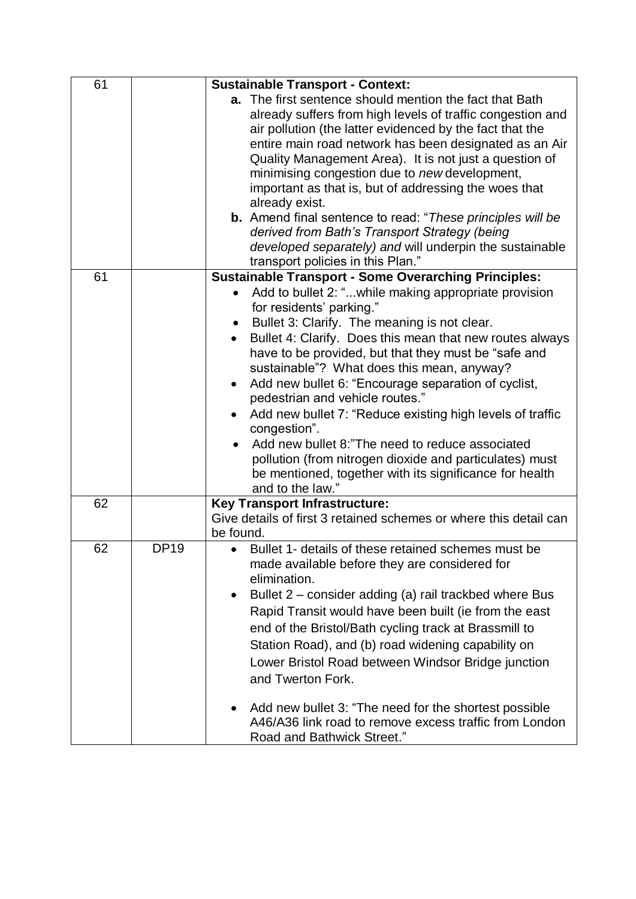| 61 |             | <b>Sustainable Transport - Context:</b>                                                                          |
|----|-------------|------------------------------------------------------------------------------------------------------------------|
|    |             | a. The first sentence should mention the fact that Bath                                                          |
|    |             | already suffers from high levels of traffic congestion and                                                       |
|    |             | air pollution (the latter evidenced by the fact that the                                                         |
|    |             | entire main road network has been designated as an Air<br>Quality Management Area). It is not just a question of |
|    |             | minimising congestion due to new development,                                                                    |
|    |             | important as that is, but of addressing the woes that                                                            |
|    |             | already exist.                                                                                                   |
|    |             | <b>b.</b> Amend final sentence to read: "These principles will be                                                |
|    |             | derived from Bath's Transport Strategy (being                                                                    |
|    |             | developed separately) and will underpin the sustainable                                                          |
|    |             | transport policies in this Plan."                                                                                |
| 61 |             | <b>Sustainable Transport - Some Overarching Principles:</b>                                                      |
|    |             | Add to bullet 2: "while making appropriate provision                                                             |
|    |             | for residents' parking."                                                                                         |
|    |             | Bullet 3: Clarify. The meaning is not clear.                                                                     |
|    |             | Bullet 4: Clarify. Does this mean that new routes always                                                         |
|    |             | have to be provided, but that they must be "safe and                                                             |
|    |             | sustainable"? What does this mean, anyway?                                                                       |
|    |             | Add new bullet 6: "Encourage separation of cyclist,                                                              |
|    |             | pedestrian and vehicle routes."<br>Add new bullet 7: "Reduce existing high levels of traffic                     |
|    |             | congestion".                                                                                                     |
|    |             | Add new bullet 8: "The need to reduce associated                                                                 |
|    |             | pollution (from nitrogen dioxide and particulates) must                                                          |
|    |             | be mentioned, together with its significance for health                                                          |
|    |             | and to the law."                                                                                                 |
| 62 |             | <b>Key Transport Infrastructure:</b>                                                                             |
|    |             | Give details of first 3 retained schemes or where this detail can                                                |
| 62 | <b>DP19</b> | be found.                                                                                                        |
|    |             | Bullet 1- details of these retained schemes must be<br>made available before they are considered for             |
|    |             | elimination.                                                                                                     |
|    |             | Bullet 2 – consider adding (a) rail trackbed where Bus                                                           |
|    |             | Rapid Transit would have been built (ie from the east                                                            |
|    |             | end of the Bristol/Bath cycling track at Brassmill to                                                            |
|    |             |                                                                                                                  |
|    |             | Station Road), and (b) road widening capability on                                                               |
|    |             | Lower Bristol Road between Windsor Bridge junction                                                               |
|    |             | and Twerton Fork.                                                                                                |
|    |             | Add new bullet 3: "The need for the shortest possible                                                            |
|    |             | A46/A36 link road to remove excess traffic from London                                                           |
|    |             | Road and Bathwick Street."                                                                                       |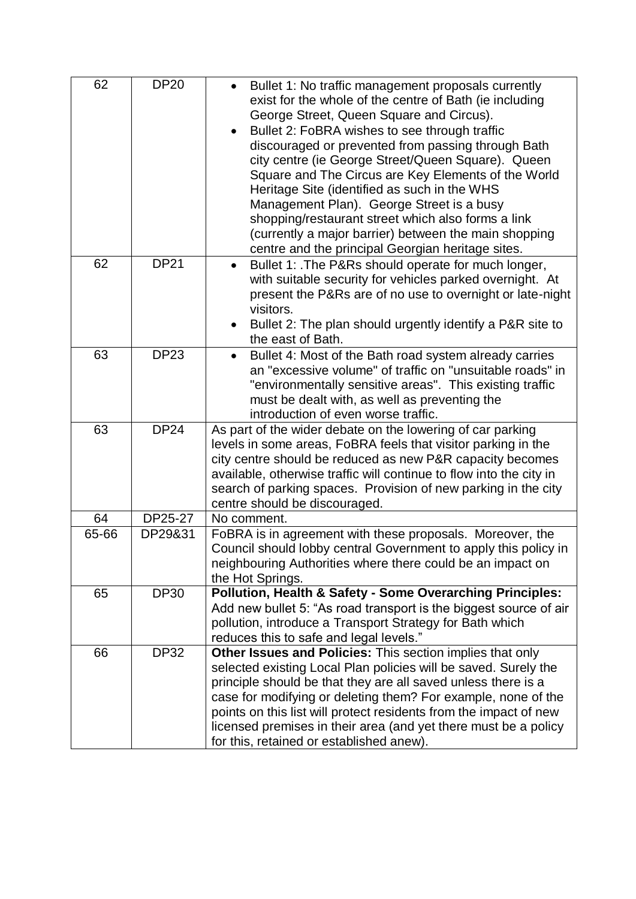| 62    | <b>DP20</b> | Bullet 1: No traffic management proposals currently<br>$\bullet$<br>exist for the whole of the centre of Bath (ie including<br>George Street, Queen Square and Circus).<br>Bullet 2: FoBRA wishes to see through traffic<br>$\bullet$<br>discouraged or prevented from passing through Bath<br>city centre (ie George Street/Queen Square). Queen<br>Square and The Circus are Key Elements of the World<br>Heritage Site (identified as such in the WHS<br>Management Plan). George Street is a busy<br>shopping/restaurant street which also forms a link<br>(currently a major barrier) between the main shopping<br>centre and the principal Georgian heritage sites. |
|-------|-------------|---------------------------------------------------------------------------------------------------------------------------------------------------------------------------------------------------------------------------------------------------------------------------------------------------------------------------------------------------------------------------------------------------------------------------------------------------------------------------------------------------------------------------------------------------------------------------------------------------------------------------------------------------------------------------|
| 62    | <b>DP21</b> | Bullet 1: . The P&Rs should operate for much longer,<br>$\bullet$<br>with suitable security for vehicles parked overnight. At<br>present the P&Rs are of no use to overnight or late-night<br>visitors.<br>Bullet 2: The plan should urgently identify a P&R site to<br>the east of Bath.                                                                                                                                                                                                                                                                                                                                                                                 |
| 63    | <b>DP23</b> | Bullet 4: Most of the Bath road system already carries<br>$\bullet$<br>an "excessive volume" of traffic on "unsuitable roads" in<br>"environmentally sensitive areas". This existing traffic<br>must be dealt with, as well as preventing the<br>introduction of even worse traffic.                                                                                                                                                                                                                                                                                                                                                                                      |
| 63    | <b>DP24</b> | As part of the wider debate on the lowering of car parking<br>levels in some areas, FoBRA feels that visitor parking in the<br>city centre should be reduced as new P&R capacity becomes<br>available, otherwise traffic will continue to flow into the city in<br>search of parking spaces. Provision of new parking in the city<br>centre should be discouraged.                                                                                                                                                                                                                                                                                                        |
| 64    | DP25-27     | No comment.                                                                                                                                                                                                                                                                                                                                                                                                                                                                                                                                                                                                                                                               |
| 65-66 | DP29&31     | FoBRA is in agreement with these proposals. Moreover, the<br>Council should lobby central Government to apply this policy in<br>neighbouring Authorities where there could be an impact on<br>the Hot Springs.                                                                                                                                                                                                                                                                                                                                                                                                                                                            |
| 65    | <b>DP30</b> | <b>Pollution, Health &amp; Safety - Some Overarching Principles:</b><br>Add new bullet 5: "As road transport is the biggest source of air<br>pollution, introduce a Transport Strategy for Bath which<br>reduces this to safe and legal levels."                                                                                                                                                                                                                                                                                                                                                                                                                          |
| 66    | <b>DP32</b> | Other Issues and Policies: This section implies that only<br>selected existing Local Plan policies will be saved. Surely the<br>principle should be that they are all saved unless there is a<br>case for modifying or deleting them? For example, none of the<br>points on this list will protect residents from the impact of new<br>licensed premises in their area (and yet there must be a policy<br>for this, retained or established anew).                                                                                                                                                                                                                        |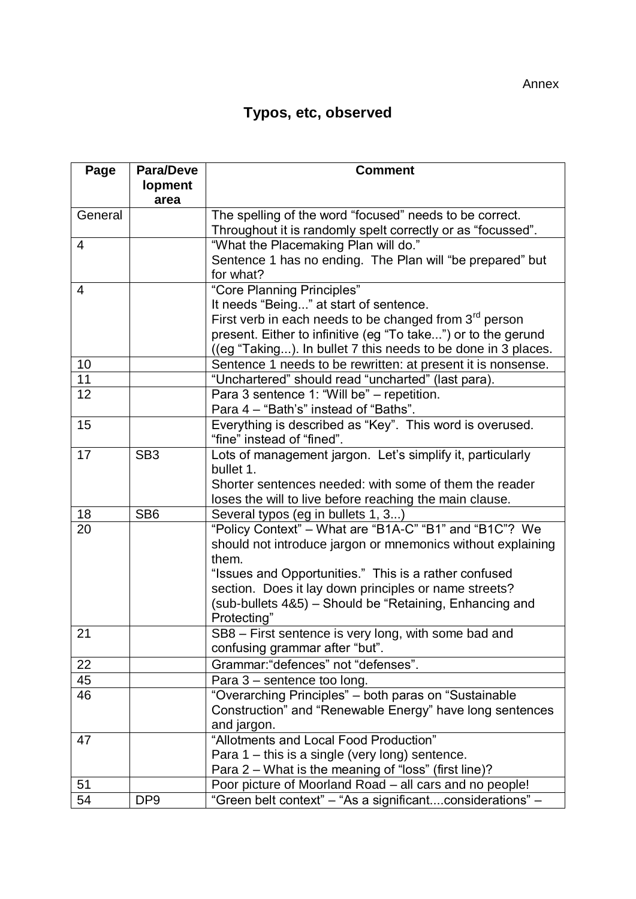## **Typos, etc, observed**

| Page    | <b>Para/Deve</b> | <b>Comment</b>                                                       |
|---------|------------------|----------------------------------------------------------------------|
|         | <b>lopment</b>   |                                                                      |
|         | area             |                                                                      |
| General |                  | The spelling of the word "focused" needs to be correct.              |
|         |                  | Throughout it is randomly spelt correctly or as "focussed".          |
| 4       |                  | "What the Placemaking Plan will do."                                 |
|         |                  | Sentence 1 has no ending. The Plan will "be prepared" but            |
|         |                  | for what?                                                            |
| 4       |                  | "Core Planning Principles"                                           |
|         |                  | It needs "Being" at start of sentence.                               |
|         |                  | First verb in each needs to be changed from $3rd$ person             |
|         |                  | present. Either to infinitive (eg "To take") or to the gerund        |
|         |                  | ((eg "Taking). In bullet 7 this needs to be done in 3 places.        |
| 10      |                  | Sentence 1 needs to be rewritten: at present it is nonsense.         |
| 11      |                  | "Unchartered" should read "uncharted" (last para).                   |
| 12      |                  | Para 3 sentence 1: "Will be" - repetition.                           |
|         |                  | Para 4 - "Bath's" instead of "Baths".                                |
| 15      |                  | Everything is described as "Key". This word is overused.             |
|         |                  | "fine" instead of "fined".                                           |
| 17      | SB <sub>3</sub>  | Lots of management jargon. Let's simplify it, particularly           |
|         |                  | bullet 1.                                                            |
|         |                  | Shorter sentences needed: with some of them the reader               |
|         |                  | loses the will to live before reaching the main clause.              |
| 18      | SB <sub>6</sub>  | Several typos (eg in bullets 1, 3)                                   |
| 20      |                  | "Policy Context" - What are "B1A-C" "B1" and "B1C"? We               |
|         |                  | should not introduce jargon or mnemonics without explaining<br>them. |
|         |                  | "Issues and Opportunities." This is a rather confused                |
|         |                  | section. Does it lay down principles or name streets?                |
|         |                  | (sub-bullets 4&5) - Should be "Retaining, Enhancing and              |
|         |                  | Protecting"                                                          |
| 21      |                  | SB8 - First sentence is very long, with some bad and                 |
|         |                  | confusing grammar after "but".                                       |
| 22      |                  | Grammar: "defences" not "defenses".                                  |
| 45      |                  | Para 3 - sentence too long.                                          |
| 46      |                  | "Overarching Principles" - both paras on "Sustainable                |
|         |                  | Construction" and "Renewable Energy" have long sentences             |
|         |                  | and jargon.                                                          |
| 47      |                  | "Allotments and Local Food Production"                               |
|         |                  | Para $1$ – this is a single (very long) sentence.                    |
|         |                  | Para 2 - What is the meaning of "loss" (first line)?                 |
| 51      |                  | Poor picture of Moorland Road - all cars and no people!              |
| 54      | DP <sub>9</sub>  | "Green belt context" - "As a significantconsiderations" -            |